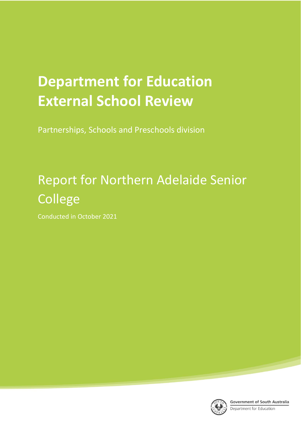# **Department for Education External School Review**

Partnerships, Schools and Preschools division

# Report for Northern Adelaide Senior College

Conducted in October 2021



**Government of South Australia** 

Department for Education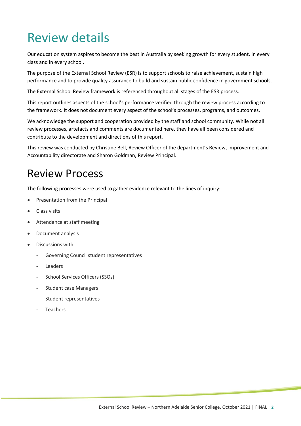## Review details

Our education system aspires to become the best in Australia by seeking growth for every student, in every class and in every school.

The purpose of the External School Review (ESR) is to support schools to raise achievement, sustain high performance and to provide quality assurance to build and sustain public confidence in government schools.

The External School Review framework is referenced throughout all stages of the ESR process.

This report outlines aspects of the school's performance verified through the review process according to the framework. It does not document every aspect of the school's processes, programs, and outcomes.

We acknowledge the support and cooperation provided by the staff and school community. While not all review processes, artefacts and comments are documented here, they have all been considered and contribute to the development and directions of this report.

This review was conducted by Christine Bell, Review Officer of the department's Review, Improvement and Accountability directorate and Sharon Goldman, Review Principal.

## Review Process

The following processes were used to gather evidence relevant to the lines of inquiry:

- Presentation from the Principal
- Class visits
- Attendance at staff meeting
- Document analysis
- Discussions with:
	- Governing Council student representatives
	- **Leaders**
	- School Services Officers (SSOs)
	- Student case Managers
	- Student representatives
	- **Teachers**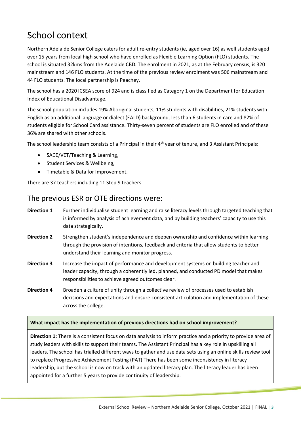## School context

Northern Adelaide Senior College caters for adult re-entry students (ie, aged over 16) as well students aged over 15 years from local high school who have enrolled as Flexible Learning Option (FLO) students. The school is situated 32kms from the Adelaide CBD. The enrolment in 2021, as at the February census, is 320 mainstream and 146 FLO students. At the time of the previous review enrolment was 506 mainstream and 44 FLO students. The local partnership is Peachey.

The school has a 2020 ICSEA score of 924 and is classified as Category 1 on the Department for Education Index of Educational Disadvantage.

The school population includes 19% Aboriginal students, 11% students with disabilities, 21% students with English as an additional language or dialect (EALD) background, less than 6 students in care and 82% of students eligible for School Card assistance. Thirty-seven percent of students are FLO enrolled and of these 36% are shared with other schools.

The school leadership team consists of a Principal in their 4<sup>th</sup> year of tenure, and 3 Assistant Principals:

- SACE/VET/Teaching & Learning,
- Student Services & Wellbeing,
- Timetable & Data for Improvement.

There are 37 teachers including 11 Step 9 teachers.

#### The previous ESR or OTE directions were:

- **Direction 1** Further individualise student learning and raise literacy levels through targeted teaching that is informed by analysis of achievement data, and by building teachers' capacity to use this data strategically.
- **Direction 2** Strengthen student's independence and deepen ownership and confidence within learning through the provision of intentions, feedback and criteria that allow students to better understand their learning and monitor progress.
- **Direction 3** Increase the impact of performance and development systems on building teacher and leader capacity, through a coherently led, planned, and conducted PD model that makes responsibilities to achieve agreed outcomes clear.
- **Direction 4** Broaden a culture of unity through a collective review of processes used to establish decisions and expectations and ensure consistent articulation and implementation of these across the college.

#### **What impact has the implementation of previous directions had on school improvement?**

**Direction 1:** There is a consistent focus on data analysis to inform practice and a priority to provide area of study leaders with skills to support their teams. The Assistant Principal has a key role in upskilling all leaders. The school has trialled different ways to gather and use data sets using an online skills review tool to replace Progressive Achievement Testing (PAT) There has been some inconsistency in literacy leadership, but the school is now on track with an updated literacy plan. The literacy leader has been appointed for a further 5 years to provide continuity of leadership.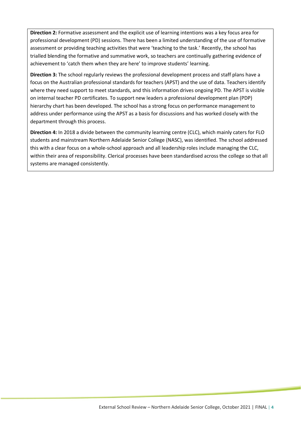**Direction 2:** Formative assessment and the explicit use of learning intentions was a key focus area for professional development (PD) sessions. There has been a limited understanding of the use of formative assessment or providing teaching activities that were 'teaching to the task.' Recently, the school has trialled blending the formative and summative work, so teachers are continually gathering evidence of achievement to 'catch them when they are here' to improve students' learning.

**Direction 3:** The school regularly reviews the professional development process and staff plans have a focus on the Australian professional standards for teachers (APST) and the use of data. Teachers identify where they need support to meet standards, and this information drives ongoing PD. The APST is visible on internal teacher PD certificates. To support new leaders a professional development plan (PDP) hierarchy chart has been developed. The school has a strong focus on performance management to address under performance using the APST as a basis for discussions and has worked closely with the department through this process.

**Direction 4:** In 2018 a divide between the community learning centre (CLC), which mainly caters for FLO students and mainstream Northern Adelaide Senior College (NASC), was identified. The school addressed this with a clear focus on a whole-school approach and all leadership roles include managing the CLC, within their area of responsibility. Clerical processes have been standardised across the college so that all systems are managed consistently.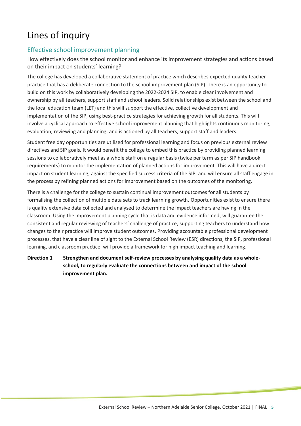## Lines of inquiry

#### Effective school improvement planning

How effectively does the school monitor and enhance its improvement strategies and actions based on their impact on students' learning?

The college has developed a collaborative statement of practice which describes expected quality teacher practice that has a deliberate connection to the school improvement plan (SIP). There is an opportunity to build on this work by collaboratively developing the 2022-2024 SIP, to enable clear involvement and ownership by all teachers, support staff and school leaders. Solid relationships exist between the school and the local education team (LET) and this will support the effective, collective development and implementation of the SIP, using best-practice strategies for achieving growth for all students. This will involve a cyclical approach to effective school improvement planning that highlights continuous monitoring, evaluation, reviewing and planning, and is actioned by all teachers, support staff and leaders.

Student free day opportunities are utilised for professional learning and focus on previous external review directives and SIP goals. It would benefit the college to embed this practice by providing planned learning sessions to collaboratively meet as a whole staff on a regular basis (twice per term as per SIP handbook requirements) to monitor the implementation of planned actions for improvement. This will have a direct impact on student learning, against the specified success criteria of the SIP, and will ensure all staff engage in the process by refining planned actions for improvement based on the outcomes of the monitoring.

There is a challenge for the college to sustain continual improvement outcomes for all students by formalising the collection of multiple data sets to track learning growth. Opportunities exist to ensure there is quality extensive data collected and analysed to determine the impact teachers are having in the classroom. Using the improvement planning cycle that is data and evidence informed, will guarantee the consistent and regular reviewing of teachers' challenge of practice, supporting teachers to understand how changes to their practice will improve student outcomes. Providing accountable professional development processes, that have a clear line of sight to the External School Review (ESR) directions, the SIP, professional learning, and classroom practice, will provide a framework for high impact teaching and learning.

#### **Direction 1 Strengthen and document self-review processes by analysing quality data as a wholeschool, to regularly evaluate the connections between and impact of the school improvement plan.**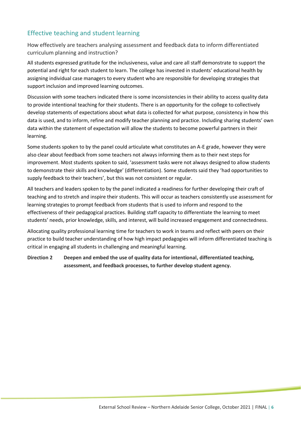#### Effective teaching and student learning

How effectively are teachers analysing assessment and feedback data to inform differentiated curriculum planning and instruction?

All students expressed gratitude for the inclusiveness, value and care all staff demonstrate to support the potential and right for each student to learn. The college has invested in students' educational health by assigning individual case managers to every student who are responsible for developing strategies that support inclusion and improved learning outcomes.

Discussion with some teachers indicated there is some inconsistencies in their ability to access quality data to provide intentional teaching for their students. There is an opportunity for the college to collectively develop statements of expectations about what data is collected for what purpose, consistency in how this data is used, and to inform, refine and modify teacher planning and practice. Including sharing students' own data within the statement of expectation will allow the students to become powerful partners in their learning.

Some students spoken to by the panel could articulate what constitutes an A-E grade, however they were also clear about feedback from some teachers not always informing them as to their next steps for improvement. Most students spoken to said, 'assessment tasks were not always designed to allow students to demonstrate their skills and knowledge' (differentiation). Some students said they 'had opportunities to supply feedback to their teachers', but this was not consistent or regular.

All teachers and leaders spoken to by the panel indicated a readiness for further developing their craft of teaching and to stretch and inspire their students. This will occur as teachers consistently use assessment for learning strategies to prompt feedback from students that is used to inform and respond to the effectiveness of their pedagogical practices. Building staff capacity to differentiate the learning to meet students' needs, prior knowledge, skills, and interest, will build increased engagement and connectedness.

Allocating quality professional learning time for teachers to work in teams and reflect with peers on their practice to build teacher understanding of how high impact pedagogies will inform differentiated teaching is critical in engaging all students in challenging and meaningful learning.

**Direction 2 Deepen and embed the use of quality data for intentional, differentiated teaching, assessment, and feedback processes, to further develop student agency.**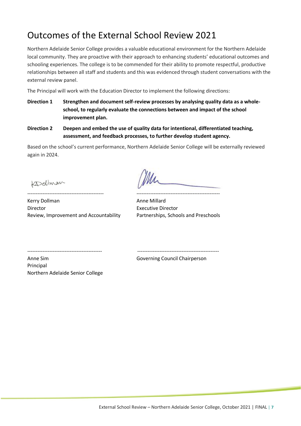## Outcomes of the External School Review 2021

Northern Adelaide Senior College provides a valuable educational environment for the Northern Adelaide local community. They are proactive with their approach to enhancing students' educational outcomes and schooling experiences. The college is to be commended for their ability to promote respectful, productive relationships between all staff and students and this was evidenced through student conversations with the external review panel.

The Principal will work with the Education Director to implement the following directions:

- **Direction 1 Strengthen and document self-review processes by analysing quality data as a wholeschool, to regularly evaluate the connections between and impact of the school improvement plan.**
- **Direction 2 Deepen and embed the use of quality data for intentional, differentiated teaching, assessment, and feedback processes, to further develop student agency.**

Based on the school's current performance, Northern Adelaide Senior College will be externally reviewed again in 2024.

Kollman

--------------------------------------------- ------------------------------------------------- Kerry Dollman **Anne Millard Anne Millard** Director Executive Director Review, Improvement and Accountability Partnerships, Schools and Preschools

-------------------------------------------- ------------------------------------------------

Anne Sim Governing Council Chairperson

Principal Northern Adelaide Senior College